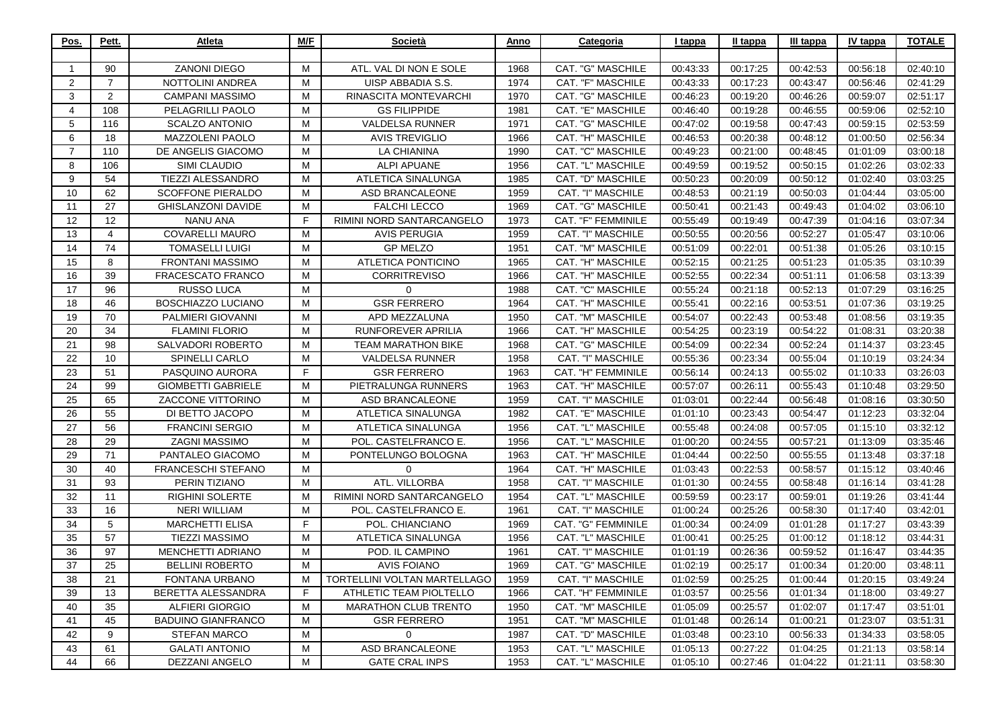| Pos.                 | Pett.          | Atleta                    | M/F | Società                      | Anno | Categoria                 | I tappa  | II tappa | III tappa | IV tappa | <b>TOTALE</b> |
|----------------------|----------------|---------------------------|-----|------------------------------|------|---------------------------|----------|----------|-----------|----------|---------------|
|                      |                |                           |     |                              |      |                           |          |          |           |          |               |
| -1                   | 90             | <b>ZANONI DIEGO</b>       | M   | ATL. VAL DI NON E SOLE       | 1968 | <b>CAT. "G" MASCHILE</b>  | 00:43:33 | 00:17:25 | 00:42:53  | 00:56:18 | 02:40:10      |
| $\mathbf{2}^{\circ}$ | $\overline{7}$ | NOTTOLINI ANDREA          | м   | UISP ABBADIA S.S.            | 1974 | CAT. "F" MASCHILE         | 00:43:33 | 00:17:23 | 00:43:47  | 00:56:46 | 02:41:29      |
| 3                    | 2              | <b>CAMPANI MASSIMO</b>    | M   | RINASCITA MONTEVARCHI        | 1970 | <b>CAT. "G" MASCHILE</b>  | 00:46:23 | 00:19:20 | 00:46:26  | 00:59:07 | 02:51:17      |
| 4                    | 108            | PELAGRILLI PAOLO          | M   | <b>GS FILIPPIDE</b>          | 1981 | CAT. "E" MASCHILE         | 00:46:40 | 00:19:28 | 00:46:55  | 00:59:06 | 02:52:10      |
| 5                    | 116            | <b>SCALZO ANTONIO</b>     | м   | <b>VALDELSA RUNNER</b>       | 1971 | CAT. "G" MASCHILE         | 00:47:02 | 00:19:58 | 00:47:43  | 00:59:15 | 02:53:59      |
| 6                    | 18             | MAZZOLENI PAOLO           | M   | <b>AVIS TREVIGLIO</b>        | 1966 | CAT. "H" MASCHILE         | 00:46:53 | 00:20:38 | 00:48:12  | 01:00:50 | 02:56:34      |
| $\overline{7}$       | 110            | DE ANGELIS GIACOMO        | M   | <b>LA CHIANINA</b>           | 1990 | CAT. "C" MASCHILE         | 00:49:23 | 00:21:00 | 00:48:45  | 01:01:09 | 03:00:18      |
| 8                    | 106            | SIMI CLAUDIO              | M   | <b>ALPI APUANE</b>           | 1956 | CAT. "L" MASCHILE         | 00:49:59 | 00:19:52 | 00:50:15  | 01:02:26 | 03:02:33      |
| 9                    | 54             | TIEZZI ALESSANDRO         | M   | <b>ATLETICA SINALUNGA</b>    | 1985 | CAT. "D" MASCHILE         | 00:50:23 | 00:20:09 | 00:50:12  | 01:02:40 | 03:03:25      |
| 10                   | 62             | <b>SCOFFONE PIERALDO</b>  | M   | ASD BRANCALEONE              | 1959 | CAT. "I" MASCHILE         | 00:48:53 | 00:21:19 | 00:50:03  | 01:04:44 | 03:05:00      |
| 11                   | 27             | <b>GHISLANZONI DAVIDE</b> | М   | <b>FALCHI LECCO</b>          | 1969 | CAT. "G" MASCHILE         | 00:50:41 | 00:21:43 | 00:49:43  | 01:04:02 | 03:06:10      |
| $12 \overline{ }$    | 12             | NANU ANA                  | F.  | RIMINI NORD SANTARCANGELO    | 1973 | <b>CAT. "F" FEMMINILE</b> | 00:55:49 | 00:19:49 | 00:47:39  | 01:04:16 | 03:07:34      |
| 13                   | $\overline{4}$ | <b>COVARELLI MAURO</b>    | M   | <b>AVIS PERUGIA</b>          | 1959 | CAT. "I" MASCHILE         | 00:50:55 | 00:20:56 | 00:52:27  | 01:05:47 | 03:10:06      |
| 14                   | 74             | <b>TOMASELLI LUIGI</b>    | М   | <b>GP MELZO</b>              | 1951 | CAT. "M" MASCHILE         | 00:51:09 | 00:22:01 | 00:51:38  | 01:05:26 | 03:10:15      |
| 15                   | 8              | <b>FRONTANI MASSIMO</b>   | M   | ATLETICA PONTICINO           | 1965 | CAT. "H" MASCHILE         | 00:52:15 | 00:21:25 | 00:51:23  | 01:05:35 | 03:10:39      |
| 16                   | 39             | FRACESCATO FRANCO         | M   | <b>CORRITREVISO</b>          | 1966 | CAT. "H" MASCHILE         | 00:52:55 | 00:22:34 | 00:51:11  | 01:06:58 | 03:13:39      |
| 17                   | 96             | <b>RUSSO LUCA</b>         | M   | 0                            | 1988 | CAT. "C" MASCHILE         | 00:55:24 | 00:21:18 | 00:52:13  | 01:07:29 | 03:16:25      |
| 18                   | 46             | <b>BOSCHIAZZO LUCIANO</b> | M   | <b>GSR FERRERO</b>           | 1964 | CAT. "H" MASCHILE         | 00:55:41 | 00:22:16 | 00:53:51  | 01:07:36 | 03:19:25      |
| 19                   | 70             | PALMIERI GIOVANNI         | M   | APD MEZZALUNA                | 1950 | <b>CAT. "M" MASCHILE</b>  | 00:54:07 | 00:22:43 | 00:53:48  | 01:08:56 | 03:19:35      |
| 20                   | 34             | <b>FLAMINI FLORIO</b>     | M   | <b>RUNFOREVER APRILIA</b>    | 1966 | CAT. "H" MASCHILE         | 00:54:25 | 00:23:19 | 00:54:22  | 01:08:31 | 03:20:38      |
| 21                   | 98             | SALVADORI ROBERTO         | м   | <b>TEAM MARATHON BIKE</b>    | 1968 | CAT. "G" MASCHILE         | 00:54:09 | 00:22:34 | 00:52:24  | 01:14:37 | 03:23:45      |
| 22                   | 10             | <b>SPINELLI CARLO</b>     | M   | VALDELSA RUNNER              | 1958 | CAT. "I" MASCHILE         | 00:55:36 | 00:23:34 | 00:55:04  | 01:10:19 | 03:24:34      |
| 23                   | 51             | PASQUINO AURORA           | F.  | <b>GSR FERRERO</b>           | 1963 | CAT. "H" FEMMINILE        | 00:56:14 | 00:24:13 | 00:55:02  | 01:10:33 | 03:26:03      |
| 24                   | 99             | <b>GIOMBETTI GABRIELE</b> | М   | PIETRALUNGA RUNNERS          | 1963 | CAT. "H" MASCHILE         | 00:57:07 | 00:26:11 | 00:55:43  | 01:10:48 | 03:29:50      |
| 25                   | 65             | ZACCONE VITTORINO         | м   | ASD BRANCALEONE              | 1959 | CAT. "I" MASCHILE         | 01:03:01 | 00:22:44 | 00:56:48  | 01:08:16 | 03:30:50      |
| 26                   | 55             | DI BETTO JACOPO           | M   | ATLETICA SINALUNGA           | 1982 | CAT. "E" MASCHILE         | 01:01:10 | 00:23:43 | 00:54:47  | 01:12:23 | 03:32:04      |
| 27                   | 56             | <b>FRANCINI SERGIO</b>    | м   | ATLETICA SINALUNGA           | 1956 | CAT. "L" MASCHILE         | 00:55:48 | 00:24:08 | 00:57:05  | 01:15:10 | 03:32:12      |
| 28                   | 29             | <b>ZAGNI MASSIMO</b>      | M   | POL. CASTELFRANCO E.         | 1956 | CAT. "L" MASCHILE         | 01:00:20 | 00:24:55 | 00:57:21  | 01:13:09 | 03:35:46      |
| 29                   | 71             | PANTALEO GIACOMO          | M   | PONTELUNGO BOLOGNA           | 1963 | CAT. "H" MASCHILE         | 01:04:44 | 00:22:50 | 00:55:55  | 01:13:48 | 03:37:18      |
| 30                   | 40             | FRANCESCHI STEFANO        | M   | $\Omega$                     | 1964 | CAT. "H" MASCHILE         | 01:03:43 | 00:22:53 | 00:58:57  | 01:15:12 | 03:40:46      |
| 31                   | 93             | PERIN TIZIANO             | M   | ATL. VILLORBA                | 1958 | CAT. "I" MASCHILE         | 01:01:30 | 00:24:55 | 00:58:48  | 01:16:14 | 03:41:28      |
| 32                   | 11             | <b>RIGHINI SOLERTE</b>    | М   | RIMINI NORD SANTARCANGELO    | 1954 | CAT. "L" MASCHILE         | 00:59:59 | 00:23:17 | 00:59:01  | 01:19:26 | 03:41:44      |
| 33                   | 16             | <b>NERI WILLIAM</b>       | М   | POL. CASTELFRANCO E.         | 1961 | CAT. "I" MASCHILE         | 01:00:24 | 00:25:26 | 00:58:30  | 01:17:40 | 03:42:01      |
| 34                   | 5              | <b>MARCHETTI ELISA</b>    | F.  | POL. CHIANCIANO              | 1969 | CAT. "G" FEMMINILE        | 01:00:34 | 00:24:09 | 01:01:28  | 01:17:27 | 03:43:39      |
| 35                   | 57             | <b>TIEZZI MASSIMO</b>     | M   | <b>ATLETICA SINALUNGA</b>    | 1956 | CAT. "L" MASCHILE         | 01:00:41 | 00:25:25 | 01:00:12  | 01:18:12 | 03:44:31      |
| 36                   | 97             | MENCHETTI ADRIANO         | M   | POD. IL CAMPINO              | 1961 | CAT. "I" MASCHILE         | 01:01:19 | 00:26:36 | 00:59:52  | 01:16:47 | 03:44:35      |
| 37                   | 25             | <b>BELLINI ROBERTO</b>    | M   | <b>AVIS FOIANO</b>           | 1969 | CAT. "G" MASCHILE         | 01:02:19 | 00:25:17 | 01:00:34  | 01:20:00 | 03:48:11      |
| 38                   | 21             | <b>FONTANA URBANO</b>     | м   | TORTELLINI VOLTAN MARTELLAGO | 1959 | CAT. "I" MASCHILE         | 01:02:59 | 00:25:25 | 01:00:44  | 01:20:15 | 03:49:24      |
| 39                   | 13             | BERETTA ALESSANDRA        | F.  | ATHLETIC TEAM PIOLTELLO      | 1966 | CAT. "H" FEMMINILE        | 01:03:57 | 00:25:56 | 01:01:34  | 01:18:00 | 03:49:27      |
| 40                   | 35             | ALFIERI GIORGIO           | М   | <b>MARATHON CLUB TRENTO</b>  | 1950 | <b>CAT. "M" MASCHILE</b>  | 01:05:09 | 00:25:57 | 01:02:07  | 01:17:47 | 03:51:01      |
| 41                   | 45             | <b>BADUINO GIANFRANCO</b> | M   | <b>GSR FERRERO</b>           | 1951 | CAT. "M" MASCHILE         | 01:01:48 | 00:26:14 | 01:00:21  | 01:23:07 | 03:51:31      |
| 42                   | 9              | <b>STEFAN MARCO</b>       | M   | $\mathbf 0$                  | 1987 | CAT. "D" MASCHILE         | 01:03:48 | 00:23:10 | 00:56:33  | 01:34:33 | 03:58:05      |
| 43                   | 61             | <b>GALATI ANTONIO</b>     | М   | ASD BRANCALEONE              | 1953 | CAT. "L" MASCHILE         | 01:05:13 | 00:27:22 | 01:04:25  | 01:21:13 | 03:58:14      |
| 44                   | 66             | DEZZANI ANGELO            | М   | <b>GATE CRAL INPS</b>        | 1953 | CAT. "L" MASCHILE         | 01:05:10 | 00:27:46 | 01:04:22  | 01:21:11 | 03:58:30      |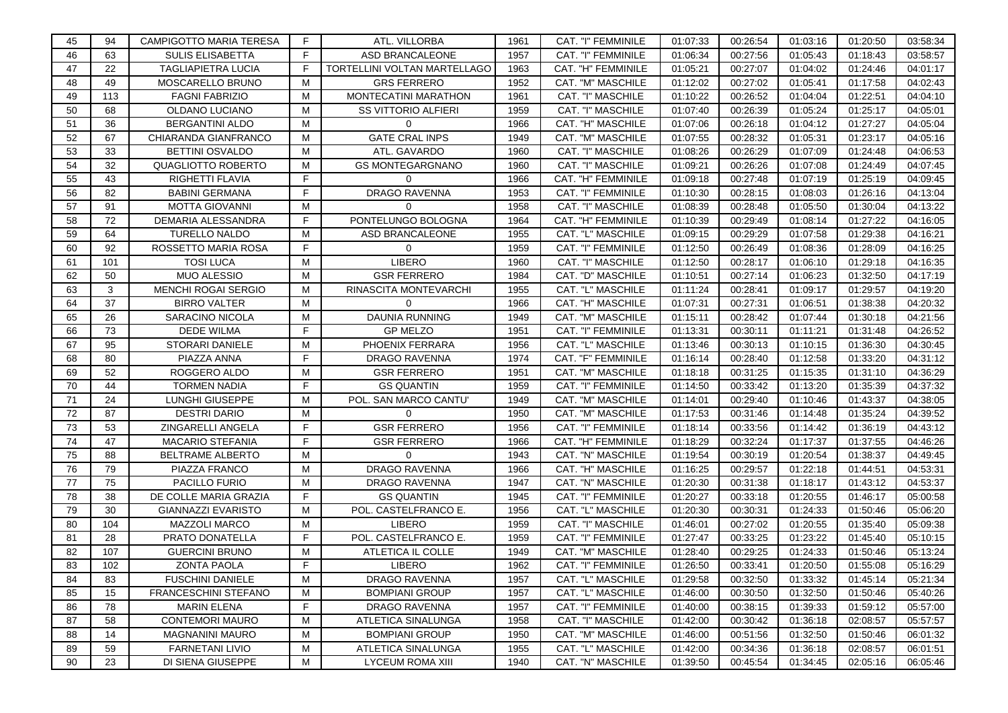| 45 | 94  | <b>CAMPIGOTTO MARIA TERESA</b> | F. | ATL. VILLORBA                       | 1961 | CAT. "I" FEMMINILE | 01:07:33 | 00:26:54 | 01:03:16 | 01:20:50 | 03:58:34 |
|----|-----|--------------------------------|----|-------------------------------------|------|--------------------|----------|----------|----------|----------|----------|
| 46 | 63  | <b>SULIS ELISABETTA</b>        | F. | ASD BRANCALEONE                     | 1957 | CAT. "I" FEMMINILE | 01:06:34 | 00:27:56 | 01:05:43 | 01:18:43 | 03:58:57 |
| 47 | 22  | <b>TAGLIAPIETRA LUCIA</b>      | E  | <b>TORTELLINI VOLTAN MARTELLAGO</b> | 1963 | CAT. "H" FEMMINILE | 01:05:21 | 00:27:07 | 01:04:02 | 01:24:46 | 04:01:17 |
| 48 | 49  | MOSCARELLO BRUNO               | M  | <b>GRS FERRERO</b>                  | 1952 | CAT. "M" MASCHILE  | 01:12:02 | 00:27:02 | 01:05:41 | 01:17:58 | 04:02:43 |
| 49 | 113 | <b>FAGNI FABRIZIO</b>          | м  | MONTECATINI MARATHON                | 1961 | CAT. "I" MASCHILE  | 01:10:22 | 00:26:52 | 01:04:04 | 01:22:51 | 04:04:10 |
| 50 | 68  | OLDANO LUCIANO                 | м  | <b>SS VITTORIO ALFIERI</b>          | 1959 | CAT. "I" MASCHILE  | 01:07:40 | 00:26:39 | 01:05:24 | 01:25:17 | 04:05:01 |
| 51 | 36  | <b>BERGANTINI ALDO</b>         | М  | $\Omega$                            | 1966 | CAT. "H" MASCHILE  | 01:07:06 | 00:26:18 | 01:04:12 | 01:27:27 | 04:05:04 |
| 52 | 67  | CHIARANDA GIANFRANCO           | м  | <b>GATE CRAL INPS</b>               | 1949 | CAT. "M" MASCHILE  | 01:07:55 | 00:28:32 | 01:05:31 | 01:23:17 | 04:05:16 |
| 53 | 33  | <b>BETTINI OSVALDO</b>         | М  | ATL. GAVARDO                        | 1960 | CAT. "I" MASCHILE  | 01:08:26 | 00:26:29 | 01:07:09 | 01:24:48 | 04:06:53 |
| 54 | 32  | <b>QUAGLIOTTO ROBERTO</b>      | М  | <b>GS MONTEGARGNANO</b>             | 1960 | CAT. "I" MASCHILE  | 01:09:21 | 00:26:26 | 01:07:08 | 01:24:49 | 04:07:45 |
| 55 | 43  | RIGHETTI FLAVIA                | F. | 0                                   | 1966 | CAT. "H" FEMMINILE | 01:09:18 | 00:27:48 | 01:07:19 | 01:25:19 | 04:09:45 |
| 56 | 82  | <b>BABINI GERMANA</b>          | F  | <b>DRAGO RAVENNA</b>                | 1953 | CAT. "I" FEMMINILE | 01:10:30 | 00:28:15 | 01:08:03 | 01:26:16 | 04:13:04 |
| 57 | 91  | <b>MOTTA GIOVANNI</b>          | М  | 0                                   | 1958 | CAT. "I" MASCHILE  | 01:08:39 | 00:28:48 | 01:05:50 | 01:30:04 | 04:13:22 |
| 58 | 72  | DEMARIA ALESSANDRA             | F. | PONTELUNGO BOLOGNA                  | 1964 | CAT. "H" FEMMINILE | 01:10:39 | 00:29:49 | 01:08:14 | 01:27:22 | 04:16:05 |
| 59 | 64  | <b>TURELLO NALDO</b>           | М  | ASD BRANCALEONE                     | 1955 | CAT. "L" MASCHILE  | 01:09:15 | 00:29:29 | 01:07:58 | 01:29:38 | 04:16:21 |
| 60 | 92  | ROSSETTO MARIA ROSA            | F  | $\mathbf 0$                         | 1959 | CAT. "I" FEMMINILE | 01:12:50 | 00:26:49 | 01:08:36 | 01:28:09 | 04:16:25 |
| 61 | 101 | <b>TOSI LUCA</b>               | М  | <b>LIBERO</b>                       | 1960 | CAT. "I" MASCHILE  | 01:12:50 | 00:28:17 | 01:06:10 | 01:29:18 | 04:16:35 |
| 62 | 50  | <b>MUO ALESSIO</b>             | M  | <b>GSR FERRERO</b>                  | 1984 | CAT. "D" MASCHILE  | 01:10:51 | 00:27:14 | 01:06:23 | 01:32:50 | 04:17:19 |
| 63 | 3   | <b>MENCHI ROGAI SERGIO</b>     | м  | RINASCITA MONTEVARCHI               | 1955 | CAT. "L" MASCHILE  | 01:11:24 | 00:28:41 | 01:09:17 | 01:29:57 | 04:19:20 |
| 64 | 37  | <b>BIRRO VALTER</b>            | М  | $\Omega$                            | 1966 | CAT. "H" MASCHILE  | 01:07:31 | 00:27:31 | 01:06:51 | 01:38:38 | 04:20:32 |
| 65 | 26  | SARACINO NICOLA                | М  | <b>DAUNIA RUNNING</b>               | 1949 | CAT. "M" MASCHILE  | 01:15:11 | 00:28:42 | 01:07:44 | 01:30:18 | 04:21:56 |
| 66 | 73  | <b>DEDE WILMA</b>              | F  | <b>GP MELZO</b>                     | 1951 | CAT. "I" FEMMINILE | 01:13:31 | 00:30:11 | 01:11:21 | 01:31:48 | 04:26:52 |
| 67 | 95  | <b>STORARI DANIELE</b>         | М  | PHOENIX FERRARA                     | 1956 | CAT. "L" MASCHILE  | 01:13:46 | 00:30:13 | 01:10:15 | 01:36:30 | 04:30:45 |
| 68 | 80  | PIAZZA ANNA                    | F. | DRAGO RAVENNA                       | 1974 | CAT. "F" FEMMINILE | 01:16:14 | 00:28:40 | 01:12:58 | 01:33:20 | 04:31:12 |
| 69 | 52  | ROGGERO ALDO                   | М  | <b>GSR FERRERO</b>                  | 1951 | CAT. "M" MASCHILE  | 01:18:18 | 00:31:25 | 01:15:35 | 01:31:10 | 04:36:29 |
| 70 | 44  | <b>TORMEN NADIA</b>            | F  | <b>GS QUANTIN</b>                   | 1959 | CAT. "I" FEMMINILE | 01:14:50 | 00:33:42 | 01:13:20 | 01:35:39 | 04:37:32 |
| 71 | 24  | LUNGHI GIUSEPPE                | м  | POL. SAN MARCO CANTU'               | 1949 | CAT. "M" MASCHILE  | 01:14:01 | 00:29:40 | 01:10:46 | 01:43:37 | 04:38:05 |
| 72 | 87  | <b>DESTRI DARIO</b>            | м  | $\Omega$                            | 1950 | CAT. "M" MASCHILE  | 01:17:53 | 00:31:46 | 01:14:48 | 01:35:24 | 04:39:52 |
| 73 | 53  | ZINGARELLI ANGELA              | F  | <b>GSR FERRERO</b>                  | 1956 | CAT. "I" FEMMINILE | 01:18:14 | 00:33:56 | 01:14:42 | 01:36:19 | 04:43:12 |
| 74 | 47  | <b>MACARIO STEFANIA</b>        | F  | <b>GSR FERRERO</b>                  | 1966 | CAT. "H" FEMMINILE | 01:18:29 | 00:32:24 | 01:17:37 | 01:37:55 | 04:46:26 |
| 75 | 88  | <b>BELTRAME ALBERTO</b>        | M  | $\Omega$                            | 1943 | CAT. "N" MASCHILE  | 01:19:54 | 00:30:19 | 01:20:54 | 01:38:37 | 04:49:45 |
| 76 | 79  | PIAZZA FRANCO                  | M  | <b>DRAGO RAVENNA</b>                | 1966 | CAT. "H" MASCHILE  | 01:16:25 | 00:29:57 | 01:22:18 | 01:44:51 | 04:53:31 |
| 77 | 75  | PACILLO FURIO                  | м  | DRAGO RAVENNA                       | 1947 | CAT. "N" MASCHILE  | 01:20:30 | 00:31:38 | 01:18:17 | 01:43:12 | 04:53:37 |
| 78 | 38  | DE COLLE MARIA GRAZIA          | F  | <b>GS QUANTIN</b>                   | 1945 | CAT. "I" FEMMINILE | 01:20:27 | 00:33:18 | 01:20:55 | 01:46:17 | 05:00:58 |
| 79 | 30  | <b>GIANNAZZI EVARISTO</b>      | м  | POL. CASTELFRANCO E.                | 1956 | CAT. "L" MASCHILE  | 01:20:30 | 00:30:31 | 01:24:33 | 01:50:46 | 05:06:20 |
| 80 | 104 | <b>MAZZOLI MARCO</b>           | М  | <b>LIBERO</b>                       | 1959 | CAT. "I" MASCHILE  | 01:46:01 | 00:27:02 | 01:20:55 | 01:35:40 | 05:09:38 |
| 81 | 28  | PRATO DONATELLA                | F  | POL. CASTELFRANCO E.                | 1959 | CAT. "I" FEMMINILE | 01:27:47 | 00:33:25 | 01:23:22 | 01:45:40 | 05:10:15 |
| 82 | 107 | <b>GUERCINI BRUNO</b>          | М  | ATLETICA IL COLLE                   | 1949 | CAT. "M" MASCHILE  | 01:28:40 | 00:29:25 | 01:24:33 | 01:50:46 | 05:13:24 |
| 83 | 102 | <b>ZONTA PAOLA</b>             | F. | <b>LIBERO</b>                       | 1962 | CAT. "I" FEMMINILE | 01:26:50 | 00:33:41 | 01:20:50 | 01:55:08 | 05:16:29 |
| 84 | 83  | <b>FUSCHINI DANIELE</b>        | м  | DRAGO RAVENNA                       | 1957 | CAT. "L" MASCHILE  | 01:29:58 | 00:32:50 | 01:33:32 | 01:45:14 | 05:21:34 |
| 85 | 15  | FRANCESCHINI STEFANO           | м  | <b>BOMPIANI GROUP</b>               | 1957 | CAT. "L" MASCHILE  | 01:46:00 | 00:30:50 | 01:32:50 | 01:50:46 | 05:40:26 |
| 86 | 78  | <b>MARIN ELENA</b>             | F. | DRAGO RAVENNA                       | 1957 | CAT. "I" FEMMINILE | 01:40:00 | 00:38:15 | 01:39:33 | 01:59:12 | 05:57:00 |
| 87 | 58  | CONTEMORI MAURO                | M  | ATLETICA SINALUNGA                  | 1958 | CAT. "I" MASCHILE  | 01:42:00 | 00:30:42 | 01:36:18 | 02:08:57 | 05:57:57 |
| 88 | 14  | <b>MAGNANINI MAURO</b>         | М  | <b>BOMPIANI GROUP</b>               | 1950 | CAT. "M" MASCHILE  | 01:46:00 | 00:51:56 | 01:32:50 | 01:50:46 | 06:01:32 |
| 89 | 59  | <b>FARNETANI LIVIO</b>         | M  | ATLETICA SINALUNGA                  | 1955 | CAT. "L" MASCHILE  | 01:42:00 | 00:34:36 | 01:36:18 | 02:08:57 | 06:01:51 |
| 90 | 23  | DI SIENA GIUSEPPE              | м  | LYCEUM ROMA XIII                    | 1940 | CAT. "N" MASCHILE  | 01:39:50 | 00:45:54 | 01:34:45 | 02:05:16 | 06:05:46 |